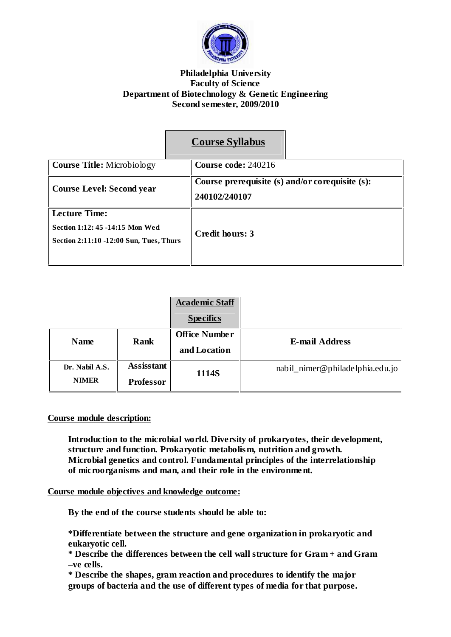

# **Philadelphia University Faculty of Science Department of Biotechnology & Genetic Engineering Second semester, 2009/2010**

|                                                                                                    | <b>Course Syllabus</b>                                           |
|----------------------------------------------------------------------------------------------------|------------------------------------------------------------------|
| <b>Course Title:</b> Microbiology                                                                  | Course code: 240216                                              |
| <b>Course Level: Second year</b>                                                                   | Course prerequisite (s) and/or corequisite (s):<br>240102/240107 |
| <b>Lecture Time:</b><br>Section 1:12: 45 -14:15 Mon Wed<br>Section 2:11:10 -12:00 Sun, Tues, Thurs | Credit hours: 3                                                  |

|                     |                      | <b>Academic Staff</b><br><b>Specifics</b> |                                 |
|---------------------|----------------------|-------------------------------------------|---------------------------------|
| Rank<br><b>Name</b> | <b>Office Number</b> | <b>E-mail Address</b>                     |                                 |
|                     |                      | and Location                              |                                 |
| Dr. Nabil A.S.      | <b>Assisstant</b>    | 1114S                                     | nabil_nimer@philadelphia.edu.jo |
| <b>NIMER</b>        | <b>Professor</b>     |                                           |                                 |

# **Course module description:**

**Introduction to the microbial world. Diversity of prokaryotes, their development, structure and function. Prokaryotic metabolism, nutrition and growth. Microbial genetics and control. Fundamental principles of the interrelationship of microorganisms and man, and their role in the environment.**

# **Course module objectives and knowledge outcome:**

**By the end of the course students should be able to:**

**\*Differentiate between the structure and gene organization in prokaryotic and eukaryotic cell.**

**\* Describe the differences between the cell wall structure for Gram + and Gram ñve cells.**

**\* Describe the shapes, gram reaction and procedures to identify the major groups of bacteria and the use of different types of media for that purpose.**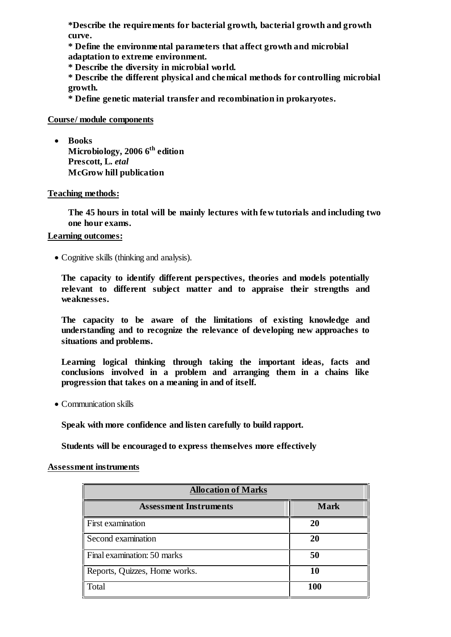**\*Describe the requirements for bacterial growth, bacterial growth and growth curve.**

**\* Define the environmental parameters that affect growth and microbial adaptation to extreme environment.**

**\* Describe the diversity in microbial world.**

**\* Describe the different physical and chemical methods for controlling microbial growth.**

**\* Define genetic material transfer and recombination in prokaryotes.**

# **Course/ module components**

 **Books Microbiology, 2006 6 th edition Prescott, L.** *etal* **McGrow hill publication**

**Teaching methods:**

**The 45 hours in total will be mainly lectures with few tutorials and including two one hour exams.**

### **Learning outcomes:**

Cognitive skills (thinking and analysis).

**The capacity to identify different perspectives, theories and models potentially relevant to different subject matter and to appraise their strengths and weaknesses.**

**The capacity to be aware of the limitations of existing knowledge and understanding and to recognize the relevance of developing new approaches to situations and problems.**

**Learning logical thinking through taking the important ideas, facts and conclusions involved in a problem and arranging them in a chains like progression that takes on a meaning in and of itself.**

Communication skills

**Speak with more confidence and listen carefully to build rapport.**

**Students will be encouraged to express themselves more effectively**

#### **Assessment instruments**

| <b>Allocation of Marks</b>    |             |  |
|-------------------------------|-------------|--|
| <b>Assessment Instruments</b> | <b>Mark</b> |  |
| <b>First examination</b>      | 20          |  |
| Second examination            | 20          |  |
| Final examination: 50 marks   | 50          |  |
| Reports, Quizzes, Home works. | 10          |  |
| Total                         | 100         |  |